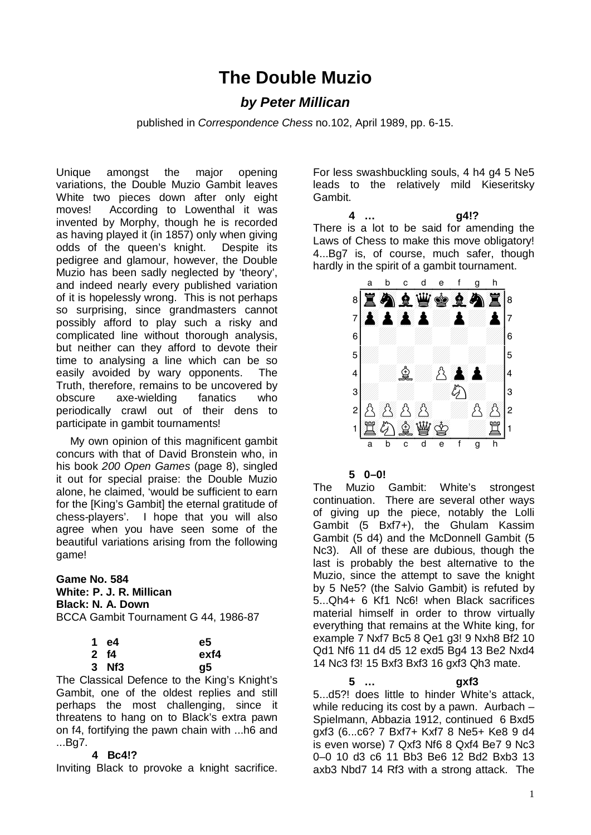# **The Double Muzio**

# *by Peter Millican*

published in *Correspondence Chess* no.102, April 1989, pp. 6-15.

Unique amongst the major opening variations, the Double Muzio Gambit leaves White two pieces down after only eight moves! According to Lowenthal it was invented by Morphy, though he is recorded as having played it (in 1857) only when giving odds of the queen's knight. Despite its pedigree and glamour, however, the Double Muzio has been sadly neglected by 'theory', and indeed nearly every published variation of it is hopelessly wrong. This is not perhaps so surprising, since grandmasters cannot possibly afford to play such a risky and complicated line without thorough analysis, but neither can they afford to devote their time to analysing a line which can be so easily avoided by wary opponents. The Truth, therefore, remains to be uncovered by obscure axe-wielding fanatics who periodically crawl out of their dens to participate in gambit tournaments!

My own opinion of this magnificent gambit concurs with that of David Bronstein who, in his book *200 Open Games* (page 8), singled it out for special praise: the Double Muzio alone, he claimed, 'would be sufficient to earn for the [King's Gambit] the eternal gratitude of chess-players'. I hope that you will also agree when you have seen some of the beautiful variations arising from the following game!

# **Game No. 584 White: P. J. R. Millican Black: N. A. Down** BCCA Gambit Tournament G 44, 1986-87

| 1 e4  | e5   |
|-------|------|
| 2 f4  | exf4 |
| 3 Nf3 | g5   |

The Classical Defence to the King's Knight's Gambit, one of the oldest replies and still perhaps the most challenging, since it threatens to hang on to Black's extra pawn on f4, fortifying the pawn chain with ...h6 and ...Bg7.

# **4 Bc4!?**

Inviting Black to provoke a knight sacrifice.

For less swashbuckling souls, 4 h4 g4 5 Ne5 leads to the relatively mild Kieseritsky Gambit.

**4 … g4!?**  There is a lot to be said for amending the  $\frac{1}{2}$ Laws of Chess to make this move obligatory! Laws of Criess to make this move congatory!<br>4...Bg7 is, of course, much safer, though



**5 0–0!** 

The Muzio Gambit: White's strongest continuation. There are several other ways of giving up the piece, notably the Lolli Gambit (5 Bxf7+), the Ghulam Kassim Gambit (5 d4) and the McDonnell Gambit (5 Nc3). All of these are dubious, though the last is probably the best alternative to the Muzio, since the attempt to save the knight by 5 Ne5? (the Salvio Gambit) is refuted by 5...Qh4+ 6 Kf1 Nc6! when Black sacrifices material himself in order to throw virtually everything that remains at the White king, for example 7 Nxf7 Bc5 8 Qe1 g3! 9 Nxh8 Bf2 10 Qd1 Nf6 11 d4 d5 12 exd5 Bg4 13 Be2 Nxd4 14 Nc3 f3! 15 Bxf3 Bxf3 16 gxf3 Qh3 mate.

# **5 … gxf3**

5...d5?! does little to hinder White's attack, while reducing its cost by a pawn. Aurbach – Spielmann, Abbazia 1912, continued 6 Bxd5 gxf3 (6...c6? 7 Bxf7+ Kxf7 8 Ne5+ Ke8 9 d4 is even worse) 7 Qxf3 Nf6 8 Qxf4 Be7 9 Nc3 0–0 10 d3 c6 11 Bb3 Be6 12 Bd2 Bxb3 13 axb3 Nbd7 14 Rf3 with a strong attack. The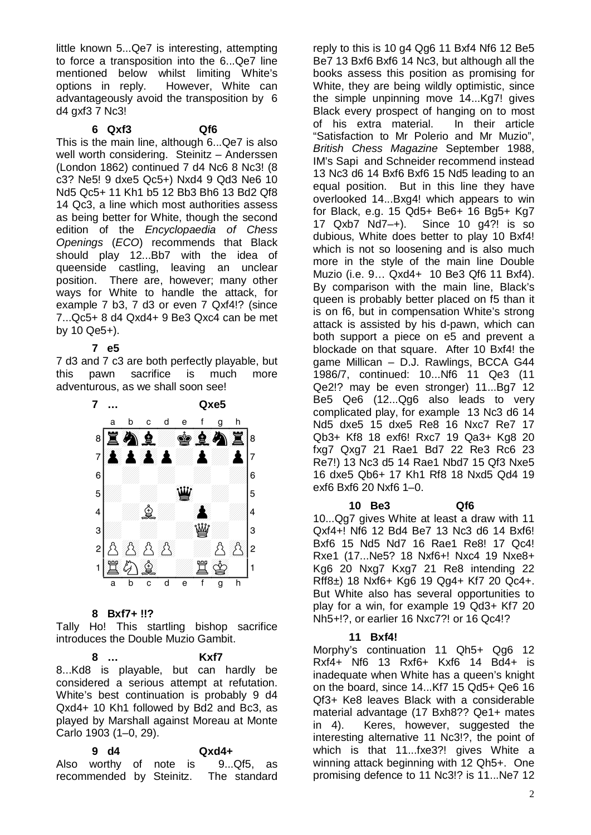little known 5...Qe7 is interesting, attempting to force a transposition into the 6...Qe7 line mentioned below whilst limiting White's options in reply. However, White can advantageously avoid the transposition by 6 d4 gxf3 7 Nc3!

# **6 Qxf3 Qf6**

This is the main line, although 6...Qe7 is also well worth considering. Steinitz - Anderssen (London 1862) continued 7 d4 Nc6 8 Nc3! (8 c3? Ne5! 9 dxe5 Qc5+) Nxd4 9 Qd3 Ne6 10 Nd5 Qc5+ 11 Kh1 b5 12 Bb3 Bh6 13 Bd2 Qf8 14 Qc3, a line which most authorities assess as being better for White, though the second edition of the *Encyclopaedia of Chess Openings* (*ECO*) recommends that Black should play 12...Bb7 with the idea of queenside castling, leaving an unclear position. There are, however; many other ways for White to handle the attack, for example 7 b3, 7 d3 or even 7 Qxf4!? (since 7...Qc5+ 8 d4 Qxd4+ 9 Be3 Qxc4 can be met by 10 Qe5+).

# **7 e5**

7 d3 and 7 c3 are both perfectly playable, but<br>this pawn sacrifice is much more this pawn sacrifice is much more adventurous, as we shall soon see!



# **8 Bxf7+ !!?**

Tally Ho! This startling bishop sacrifice introduces the Double Muzio Gambit.

#### **8 … Kxf7**

8...Kd8 is playable, but can hardly be considered a serious attempt at refutation. White's best continuation is probably 9 d4 Qxd4+ 10 Kh1 followed by Bd2 and Bc3, as played by Marshall against Moreau at Monte Carlo 1903 (1–0, 29).

**9 d4 Qxd4+**  Also worthy of note is 9...Qf5, as recommended by Steinitz. The standard

reply to this is 10 g4 Qg6 11 Bxf4 Nf6 12 Be5 Be7 13 Bxf6 Bxf6 14 Nc3, but although all the books assess this position as promising for White, they are being wildly optimistic, since the simple unpinning move 14...Kg7! gives Black every prospect of hanging on to most of his extra material. In their article "Satisfaction to Mr Polerio and Mr Muzio", *British Chess Magazine* September 1988, IM's Sapi and Schneider recommend instead 13 Nc3 d6 14 Bxf6 Bxf6 15 Nd5 leading to an equal position. But in this line they have overlooked 14...Bxg4! which appears to win for Black, e.g. 15 Qd5+ Be6+ 16 Bg5+ Kg7 17 Qxb7 Nd7–+). Since 10 g4?! is so dubious, White does better to play 10 Bxf4! which is not so loosening and is also much more in the style of the main line Double Muzio (i.e. 9… Qxd4+ 10 Be3 Qf6 11 Bxf4). By comparison with the main line, Black's queen is probably better placed on f5 than it is on f6, but in compensation White's strong attack is assisted by his d-pawn, which can both support a piece on e5 and prevent a blockade on that square. After 10 Bxf4! the game Millican – D.J. Rawlings, BCCA G44 1986/7, continued: 10...Nf6 11 Qe3 (11 Qe2!? may be even stronger) 11...Bg7 12 Be5 Qe6 (12...Qg6 also leads to very complicated play, for example 13 Nc3 d6 14 Nd5 dxe5 15 dxe5 Re8 16 Nxc7 Re7 17 Qb3+ Kf8 18 exf6! Rxc7 19 Qa3+ Kg8 20 fxg7 Qxg7 21 Rae1 Bd7 22 Re3 Rc6 23 Re7!) 13 Nc3 d5 14 Rae1 Nbd7 15 Qf3 Nxe5 16 dxe5 Qb6+ 17 Kh1 Rf8 18 Nxd5 Qd4 19 exf6 Bxf6 20 Nxf6 1–0.

#### **10 Be3 Qf6**

10...Qg7 gives White at least a draw with 11 Qxf4+! Nf6 12 Bd4 Be7 13 Nc3 d6 14 Bxf6! Bxf6 15 Nd5 Nd7 16 Rae1 Re8! 17 Qc4! Rxe1 (17...Ne5? 18 Nxf6+! Nxc4 19 Nxe8+ Kg6 20 Nxg7 Kxg7 21 Re8 intending 22 Rff8±) 18 Nxf6+ Kg6 19 Qg4+ Kf7 20 Qc4+. But White also has several opportunities to play for a win, for example 19 Qd3+ Kf7 20 Nh5+!?, or earlier 16 Nxc7?! or 16 Qc4!?

# **11 Bxf4!**

Morphy's continuation 11 Qh5+ Qg6 12 Rxf4+ Nf6 13 Rxf6+ Kxf6 14 Bd4+ is inadequate when White has a queen's knight on the board, since 14...Kf7 15 Qd5+ Qe6 16 Qf3+ Ke8 leaves Black with a considerable material advantage (17 Bxh8?? Qe1+ mates in 4). Keres, however, suggested the interesting alternative 11 Nc3!?, the point of which is that 11...fxe3?! gives White a winning attack beginning with 12 Qh5+. One promising defence to 11 Nc3!? is 11...Ne7 12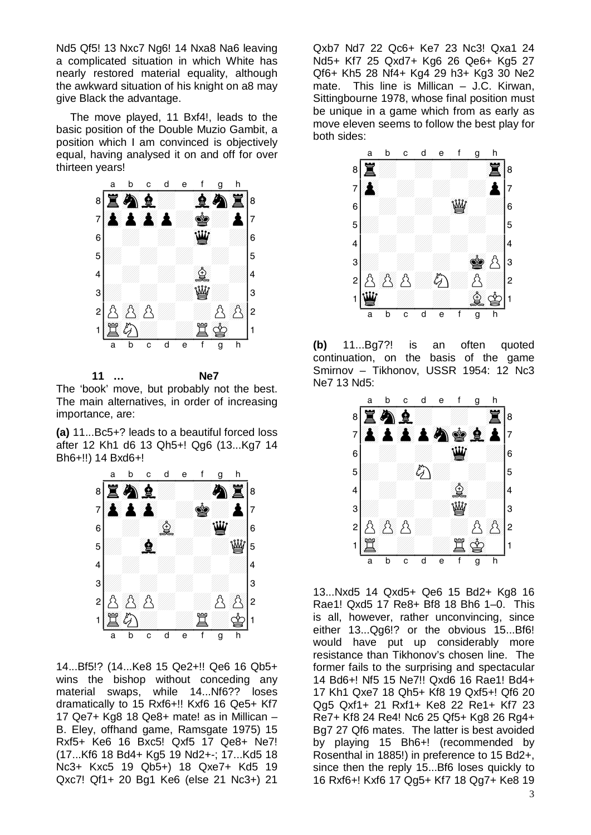Nd5 Qf5! 13 Nxc7 Ng6! 14 Nxa8 Na6 leaving a complicated situation in which White has nearly restored material equality, although the awkward situation of his knight on a8 may give Black the advantage.

The move played, 11 Bxf4!, leads to the basic position of the Double Muzio Gambit, a position which I am convinced is objectively position which I am convinced is objectively<br>equal, having analysed it on and off for over thirteen years!



**11 … Ne7** 

The 'book' move, but probably not the best. The main alternatives, in order of increasing importance, are:

importance, are.<br>**(a)** 11...Bc5+? leads to a beautiful forced loss (a)  $11...$ BC3+? leads to a beauthul forced loss<br>after 12 Kh1 d6 13 Qh5+! Qg6 (13...Kg7 14 Bh6+!!) 14 Bxd6+!



14...Bf5!? (14...Ke8 15 Qe2+!! Qe6 16 Qb5+ wins the bishop without conceding any material swaps, while 14...Nf6?? loses dramatically to 15 Rxf6+!! Kxf6 16 Qe5+ Kf7 17 Qe7+ Kg8 18 Qe8+ mate! as in Millican – B. Eley, offhand game, Ramsgate 1975) 15 Rxf5+ Ke6 16 Bxc5! Qxf5 17 Qe8+ Ne7! (17...Kf6 18 Bd4+ Kg5 19 Nd2+-; 17...Kd5 18 Nc3+ Kxc5 19 Qb5+) 18 Qxe7+ Kd5 19 Qxc7! Qf1+ 20 Bg1 Ke6 (else 21 Nc3+) 21

Qxb7 Nd7 22 Qc6+ Ke7 23 Nc3! Qxa1 24 Nd5+ Kf7 25 Qxd7+ Kg6 26 Qe6+ Kg5 27 Qf6+ Kh5 28 Nf4+ Kg4 29 h3+ Kg3 30 Ne2 mate. This line is Millican – J.C. Kirwan, Sittingbourne 1978, whose final position must<br>be unique in a game which from as a solution be unique in a game which from as early as be unique in a game which nom as early as<br>move eleven seems to follow the best play for both sides:



**(b)** 11...Bg7?! is an often quoted (b) 11...Bg7?! is an often quoted<br>continuation, on the basis of the game continuation, on the basis of the game<br>Smirnov – Tikhonov, USSR 1954: 12 Nc3 Ne7 13 Nd5:



13...Nxd5 14 Qxd5+ Qe6 15 Bd2+ Kg8 16 Rae1! Qxd5 17 Re8+ Bf8 18 Bh6 1–0. This is all, however, rather unconvincing, since either 13...Qg6!? or the obvious 15...Bf6! would have put up considerably more resistance than Tikhonov's chosen line. The former fails to the surprising and spectacular 14 Bd6+! Nf5 15 Ne7!! Qxd6 16 Rae1! Bd4+ 17 Kh1 Qxe7 18 Qh5+ Kf8 19 Qxf5+! Qf6 20 Qg5 Qxf1+ 21 Rxf1+ Ke8 22 Re1+ Kf7 23 Re7+ Kf8 24 Re4! Nc6 25 Qf5+ Kg8 26 Rg4+ Bg7 27 Qf6 mates. The latter is best avoided by playing 15 Bh6+! (recommended by Rosenthal in 1885!) in preference to 15 Bd2+, since then the reply 15...Bf6 loses quickly to 16 Rxf6+! Kxf6 17 Qg5+ Kf7 18 Qg7+ Ke8 19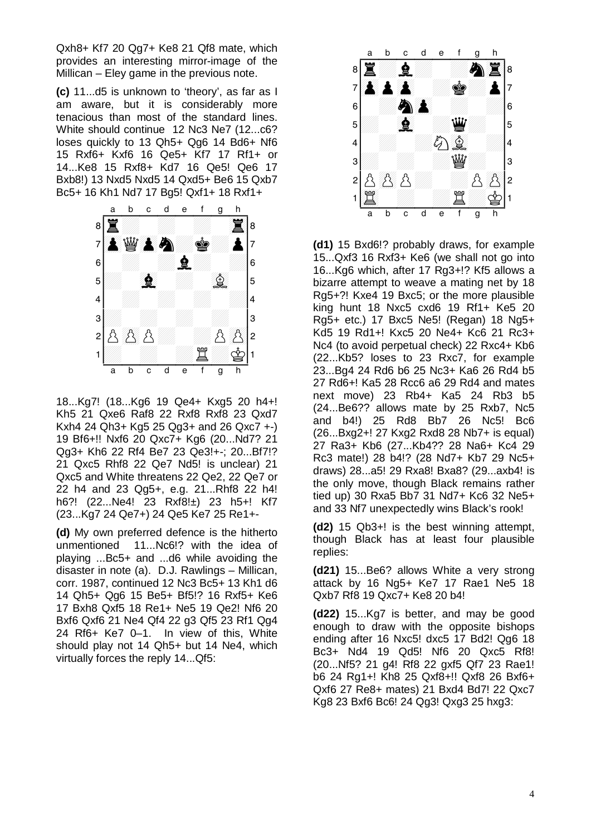Qxh8+ Kf7 20 Qg7+ Ke8 21 Qf8 mate, which provides an interesting mirror-image of the Millican – Eley game in the previous note.

**(c)** 11...d5 is unknown to 'theory', as far as I am aware, but it is considerably more tenacious than most of the standard lines. White should continue 12 Nc3 Ne7 (12...c6? loses quickly to 13 Qh5+ Qg6 14 Bd6+ Nf6 15 Rxf6+ Kxf6 16 Qe5+ Kf7 17 Rf1+ or 14...Ke8 15 Rxf8+ Kd7 16 Qe5! Qe6 17 14...Neo 15 Kxio+ Nd7 16 Qeb! Qe6 17<br>Bxb8!) 13 Nxd5 Nxd5 14 Qxd5+ Be6 15 Qxb7



18...Kg7! (18...Kg6 19 Qe4+ Kxg5 20 h4+! Kh5 21 Qxe6 Raf8 22 Rxf8 Rxf8 23 Qxd7 Kxh4 24 Qh3+ Kg5 25 Qg3+ and 26 Qxc7 +-) 19 Bf6+!! Nxf6 20 Qxc7+ Kg6 (20...Nd7? 21 Qg3+ Kh6 22 Rf4 Be7 23 Qe3!+-; 20...Bf7!? 21 Qxc5 Rhf8 22 Qe7 Nd5! is unclear) 21 Qxc5 and White threatens 22 Qe2, 22 Qe7 or 22 h4 and 23 Qg5+, e.g. 21...Rhf8 22 h4! h6?! (22...Ne4! 23 Rxf8!±) 23 h5+! Kf7 (23...Kg7 24 Qe7+) 24 Qe5 Ke7 25 Re1+-

**(d)** My own preferred defence is the hitherto unmentioned 11...Nc6!? with the idea of playing ...Bc5+ and ...d6 while avoiding the disaster in note (a). D.J. Rawlings – Millican, corr. 1987, continued 12 Nc3 Bc5+ 13 Kh1 d6 14 Qh5+ Qg6 15 Be5+ Bf5!? 16 Rxf5+ Ke6 17 Bxh8 Qxf5 18 Re1+ Ne5 19 Qe2! Nf6 20 Bxf6 Qxf6 21 Ne4 Qf4 22 g3 Qf5 23 Rf1 Qg4 24 Rf6+ Ke7 0–1. In view of this, White should play not 14 Qh5+ but 14 Ne4, which virtually forces the reply 14...Qf5:



**(d1)** 15 Bxd6!? probably draws, for example 15...Qxf3 16 Rxf3+ Ke6 (we shall not go into 16...Kg6 which, after 17 Rg3+!? Kf5 allows a bizarre attempt to weave a mating net by 18 Rg5+?! Kxe4 19 Bxc5; or the more plausible king hunt 18 Nxc5 cxd6 19 Rf1+ Ke5 20 Rg5+ etc.) 17 Bxc5 Ne5! (Regan) 18 Ng5+ Kd5 19 Rd1+! Kxc5 20 Ne4+ Kc6 21 Rc3+ Nc4 (to avoid perpetual check) 22 Rxc4+ Kb6 (22...Kb5? loses to 23 Rxc7, for example 23...Bg4 24 Rd6 b6 25 Nc3+ Ka6 26 Rd4 b5 27 Rd6+! Ka5 28 Rcc6 a6 29 Rd4 and mates next move) 23 Rb4+ Ka5 24 Rb3 b5 (24...Be6?? allows mate by 25 Rxb7, Nc5 and b4!) 25 Rd8 Bb7 26 Nc5! Bc6 (26...Bxg2+! 27 Kxg2 Rxd8 28 Nb7+ is equal) 27 Ra3+ Kb6 (27...Kb4?? 28 Na6+ Kc4 29 Rc3 mate!) 28 b4!? (28 Nd7+ Kb7 29 Nc5+ draws) 28...a5! 29 Rxa8! Bxa8? (29...axb4! is the only move, though Black remains rather tied up) 30 Rxa5 Bb7 31 Nd7+ Kc6 32 Ne5+ and 33 Nf7 unexpectedly wins Black's rook!

**(d2)** 15 Qb3+! is the best winning attempt, though Black has at least four plausible replies:

**(d21)** 15...Be6? allows White a very strong attack by 16 Ng5+ Ke7 17 Rae1 Ne5 18 Qxb7 Rf8 19 Qxc7+ Ke8 20 b4!

**(d22)** 15...Kg7 is better, and may be good enough to draw with the opposite bishops ending after 16 Nxc5! dxc5 17 Bd2! Qg6 18 Bc3+ Nd4 19 Qd5! Nf6 20 Qxc5 Rf8! (20...Nf5? 21 g4! Rf8 22 gxf5 Qf7 23 Rae1! b6 24 Rg1+! Kh8 25 Qxf8+!! Qxf8 26 Bxf6+ Qxf6 27 Re8+ mates) 21 Bxd4 Bd7! 22 Qxc7 Kg8 23 Bxf6 Bc6! 24 Qg3! Qxg3 25 hxg3: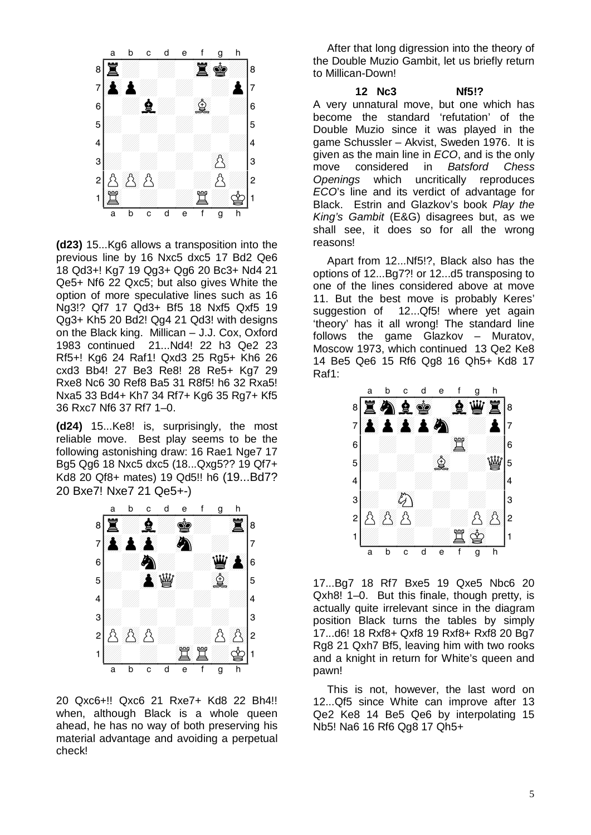

**(d23)** 15...Kg6 allows a transposition into the previous line by 16 Nxc5 dxc5 17 Bd2 Qe6 18 Qd3+! Kg7 19 Qg3+ Qg6 20 Bc3+ Nd4 21 Qe5+ Nf6 22 Qxc5; but also gives White the option of more speculative lines such as 16 Ng3!? Qf7 17 Qd3+ Bf5 18 Nxf5 Qxf5 19 Qg3+ Kh5 20 Bd2! Qg4 21 Qd3! with designs on the Black king. Millican – J.J. Cox, Oxford 1983 continued 21...Nd4! 22 h3 Qe2 23 Rf5+! Kg6 24 Raf1! Qxd3 25 Rg5+ Kh6 26 cxd3 Bb4! 27 Be3 Re8! 28 Re5+ Kg7 29 Rxe8 Nc6 30 Ref8 Ba5 31 R8f5! h6 32 Rxa5! Nxa5 33 Bd4+ Kh7 34 Rf7+ Kg6 35 Rg7+ Kf5 36 Rxc7 Nf6 37 Rf7 1–0.

**(d24)** 15...Ke8! is, surprisingly, the most reliable move. Best play seems to be the following astonishing draw: 16 Rae1 Nge7 17<br>Ba5 Og6 18 Nxc5 dxc5 (18 . Oxg522 19 Of7+ Bg5 Qg6 18 Nxc5 dxc5 (18...Qxg5?? 19 Qf7+  $E_9$ ,  $E_9$ ,  $E_9$ ,  $E_9$ ,  $E_9$ ,  $E_9$ ,  $E_9$ ,  $E_9$ ,  $E_9$ ,  $E_9$ ,  $E_9$ ,  $E_9$ ,  $E_9$ ,  $E_9$ ,  $E_9$ ,  $E_9$ ,  $E_9$ ,  $E_9$ ,  $E_9$ ,  $E_9$ ,  $E_9$ ,  $E_9$ ,  $E_9$ ,  $E_9$ ,  $E_9$ ,  $E_9$ ,  $E_9$ ,  $E_9$ ,  $E_9$ ,  $E_9$ ,  $E_9$ ,  $E_9$ 20 Bxe7! Nxe7 21 Qe5+-)



20 Qxc6+!! Qxc6 21 Rxe7+ Kd8 22 Bh4!! when, although Black is a whole queen ahead, he has no way of both preserving his material advantage and avoiding a perpetual check!

After that long digression into the theory of the Double Muzio Gambit, let us briefly return to Millican-Down!

**12 Nc3 Nf5!?**  A very unnatural move, but one which has become the standard 'refutation' of the Double Muzio since it was played in the game Schussler – Akvist, Sweden 1976. It is given as the main line in *ECO*, and is the only move considered in *Batsford Chess Openings* which uncritically reproduces *ECO*'s line and its verdict of advantage for Black. Estrin and Glazkov's book *Play the King's Gambit* (E&G) disagrees but, as we shall see, it does so for all the wrong reasons!

Apart from 12...Nf5!?, Black also has the options of 12...Bg7?! or 12...d5 transposing to one of the lines considered above at move 11. But the best move is probably Keres' suggestion of 12...Qf5! where yet again 'theory' has it all wrong! The standard line follows the game Glazkov – Muratov,<br>Measow 1973 which continued 13 Os 2 Ke 9 Moscow 1973, which continued 13 Qe2 Ke8 MOSCOW 1975, WHICH CONTINUED 13 QEZ NEO<br>14 Be5 Qe6 15 Rf6 Qg8 16 Qh5+ Kd8 17 Raf1:



17...Bg7 18 Rf7 Bxe5 19 Qxe5 Nbc6 20 Qxh8! 1–0. But this finale, though pretty, is actually quite irrelevant since in the diagram position Black turns the tables by simply 17...d6! 18 Rxf8+ Qxf8 19 Rxf8+ Rxf8 20 Bg7 Rg8 21 Qxh7 Bf5, leaving him with two rooks and a knight in return for White's queen and pawn!

This is not, however, the last word on 12...Qf5 since White can improve after 13 Qe2 Ke8 14 Be5 Qe6 by interpolating 15 Nb5! Na6 16 Rf6 Qg8 17 Qh5+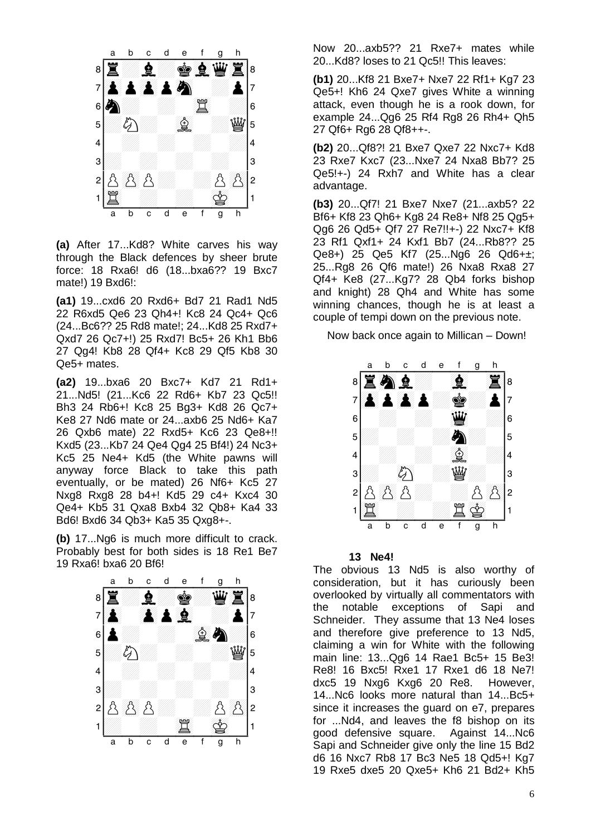

**(a)** After 17...Kd8? White carves his way through the Black defences by sheer brute force: 18 Rxa6! d6 (18...bxa6?? 19 Bxc7 mate!) 19 Bxd6!:

**(a1)** 19...cxd6 20 Rxd6+ Bd7 21 Rad1 Nd5 22 R6xd5 Qe6 23 Qh4+! Kc8 24 Qc4+ Qc6 (24...Bc6?? 25 Rd8 mate!; 24...Kd8 25 Rxd7+ Qxd7 26 Qc7+!) 25 Rxd7! Bc5+ 26 Kh1 Bb6 27 Qg4! Kb8 28 Qf4+ Kc8 29 Qf5 Kb8 30 Qe5+ mates.

**(a2)** 19...bxa6 20 Bxc7+ Kd7 21 Rd1+ 21...Nd5! (21...Kc6 22 Rd6+ Kb7 23 Qc5!! Bh3 24 Rb6+! Kc8 25 Bg3+ Kd8 26 Qc7+ Ke8 27 Nd6 mate or 24...axb6 25 Nd6+ Ka7 26 Qxb6 mate) 22 Rxd5+ Kc6 23 Qe8+!! Kxd5 (23...Kb7 24 Qe4 Qg4 25 Bf4!) 24 Nc3+ Kc5 25 Ne4+ Kd5 (the White pawns will anyway force Black to take this path eventually, or be mated) 26 Nf6+ Kc5 27 Nxg8 Rxg8 28 b4+! Kd5 29 c4+ Kxc4 30 Qe4+ Kb5 31 Qxa8 Bxb4 32 Qb8+ Ka4 33 Bd6! Bxd6 34 Qb3+ Ka5 35 Qxg8+-.

buo: bxuo 34 Q03+ Nab 35 Qxgo+-.<br>**(b)** 17...Ng6 is much more difficult to crack. (b) Tr...Ngo is much more difficult to clack.<br>Probably best for both sides is 18 Re1 Be7 19 Rxa6! bxa6 20 Bf6!



Now 20...axb5?? 21 Rxe7+ mates while 20...Kd8? loses to 21 Qc5!! This leaves:

**(b1)** 20...Kf8 21 Bxe7+ Nxe7 22 Rf1+ Kg7 23 Qe5+! Kh6 24 Qxe7 gives White a winning attack, even though he is a rook down, for example 24...Qg6 25 Rf4 Rg8 26 Rh4+ Qh5 27 Qf6+ Rg6 28 Qf8++-.

**(b2)** 20...Qf8?! 21 Bxe7 Qxe7 22 Nxc7+ Kd8 23 Rxe7 Kxc7 (23...Nxe7 24 Nxa8 Bb7? 25 Qe5!+-) 24 Rxh7 and White has a clear advantage.

**(b3)** 20...Qf7! 21 Bxe7 Nxe7 (21...axb5? 22 Bf6+ Kf8 23 Qh6+ Kg8 24 Re8+ Nf8 25 Qg5+ Qg6 26 Qd5+ Qf7 27 Re7!!+-) 22 Nxc7+ Kf8 23 Rf1 Qxf1+ 24 Kxf1 Bb7 (24...Rb8?? 25 Qe8+) 25 Qe5 Kf7 (25...Ng6 26 Qd6+±; 25...Rg8 26 Qf6 mate!) 26 Nxa8 Rxa8 27 Qf4+ Ke8 (27...Kg7? 28 Qb4 forks bishop and knight) 28 Qh4 and White has some winning chances, though he is at least a winning chances, mough he is at least a<br>couple of tempi down on the previous note.

Now back once again to Millican – Down!



#### **13 Ne4!**

The obvious 13 Nd5 is also worthy of consideration, but it has curiously been overlooked by virtually all commentators with the notable exceptions of Sapi and Schneider. They assume that 13 Ne4 loses and therefore give preference to 13 Nd5, claiming a win for White with the following main line: 13...Qg6 14 Rae1 Bc5+ 15 Be3! Re8! 16 Bxc5! Rxe1 17 Rxe1 d6 18 Ne7! dxc5 19 Nxg6 Kxg6 20 Re8. However, 14...Nc6 looks more natural than 14...Bc5+ since it increases the guard on e7, prepares for ...Nd4, and leaves the f8 bishop on its good defensive square. Against 14...Nc6 Sapi and Schneider give only the line 15 Bd2 d6 16 Nxc7 Rb8 17 Bc3 Ne5 18 Qd5+! Kg7 19 Rxe5 dxe5 20 Qxe5+ Kh6 21 Bd2+ Kh5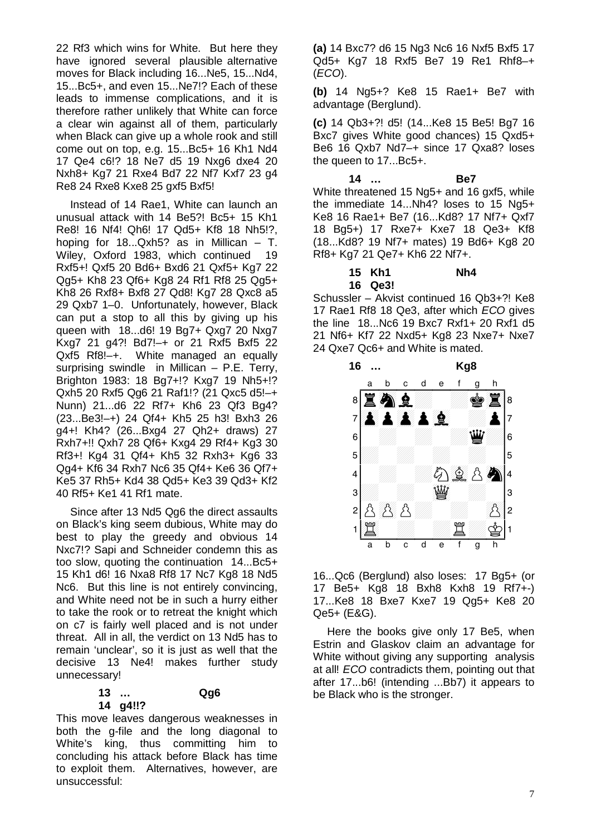22 Rf3 which wins for White. But here they have ignored several plausible alternative moves for Black including 16...Ne5, 15...Nd4, 15...Bc5+, and even 15...Ne7!? Each of these leads to immense complications, and it is therefore rather unlikely that White can force a clear win against all of them, particularly when Black can give up a whole rook and still come out on top, e.g. 15...Bc5+ 16 Kh1 Nd4 17 Qe4 c6!? 18 Ne7 d5 19 Nxg6 dxe4 20 Nxh8+ Kg7 21 Rxe4 Bd7 22 Nf7 Kxf7 23 g4 Re8 24 Rxe8 Kxe8 25 gxf5 Bxf5!

Instead of 14 Rae1, White can launch an unusual attack with 14 Be5?! Bc5+ 15 Kh1 Re8! 16 Nf4! Qh6! 17 Qd5+ Kf8 18 Nh5!?, hoping for 18...Qxh5? as in Millican – T. Wiley, Oxford 1983, which continued 19 Rxf5+! Qxf5 20 Bd6+ Bxd6 21 Qxf5+ Kg7 22 Qg5+ Kh8 23 Qf6+ Kg8 24 Rf1 Rf8 25 Qg5+ Kh8 26 Rxf8+ Bxf8 27 Qd8! Kg7 28 Qxc8 a5 29 Qxb7 1–0. Unfortunately, however, Black can put a stop to all this by giving up his queen with 18...d6! 19 Bg7+ Qxg7 20 Nxg7 Kxg7 21 g4?! Bd7!–+ or 21 Rxf5 Bxf5 22 Qxf5 Rf8!–+. White managed an equally surprising swindle in Millican – P.E. Terry, Brighton 1983: 18 Bg7+!? Kxg7 19 Nh5+!? Qxh5 20 Rxf5 Qg6 21 Raf1!? (21 Qxc5 d5!–+ Nunn) 21...d6 22 Rf7+ Kh6 23 Qf3 Bg4? (23...Be3!–+) 24 Qf4+ Kh5 25 h3! Bxh3 26 g4+! Kh4? (26...Bxg4 27 Qh2+ draws) 27 Rxh7+!! Qxh7 28 Qf6+ Kxg4 29 Rf4+ Kg3 30 Rf3+! Kg4 31 Qf4+ Kh5 32 Rxh3+ Kg6 33 Qg4+ Kf6 34 Rxh7 Nc6 35 Qf4+ Ke6 36 Qf7+ Ke5 37 Rh5+ Kd4 38 Qd5+ Ke3 39 Qd3+ Kf2 40 Rf5+ Ke1 41 Rf1 mate.

Since after 13 Nd5 Qg6 the direct assaults on Black's king seem dubious, White may do best to play the greedy and obvious 14 Nxc7!? Sapi and Schneider condemn this as too slow, quoting the continuation 14...Bc5+ 15 Kh1 d6! 16 Nxa8 Rf8 17 Nc7 Kg8 18 Nd5 Nc6. But this line is not entirely convincing, and White need not be in such a hurry either to take the rook or to retreat the knight which on c7 is fairly well placed and is not under threat. All in all, the verdict on 13 Nd5 has to remain 'unclear', so it is just as well that the decisive 13 Ne4! makes further study unnecessary!

#### **13 … Qg6 14 g4!!?**

This move leaves dangerous weaknesses in both the g-file and the long diagonal to White's king, thus committing him to concluding his attack before Black has time to exploit them. Alternatives, however, are unsuccessful:

**(a)** 14 Bxc7? d6 15 Ng3 Nc6 16 Nxf5 Bxf5 17 Qd5+ Kg7 18 Rxf5 Be7 19 Re1 Rhf8–+ (*ECO*).

**(b)** 14 Ng5+? Ke8 15 Rae1+ Be7 with advantage (Berglund).

**(c)** 14 Qb3+?! d5! (14...Ke8 15 Be5! Bg7 16 Bxc7 gives White good chances) 15 Qxd5+ Be6 16 Qxb7 Nd7–+ since 17 Qxa8? loses the queen to 17...Bc5+.

**14 … Be7**  White threatened 15 Ng5+ and 16 gxf5, while the immediate 14...Nh4? loses to 15 Ng5+ Ke8 16 Rae1+ Be7 (16...Kd8? 17 Nf7+ Qxf7 18 Bg5+) 17 Rxe7+ Kxe7 18 Qe3+ Kf8 (18...Kd8? 19 Nf7+ mates) 19 Bd6+ Kg8 20 Rf8+ Kg7 21 Qe7+ Kh6 22 Nf7+.

# **15 Kh1 Nh4**

# **16 Qe3!**

Schussler – Akvist continued 16 Qb3+?! Ke8 17 Rae1 Rf8 18 Qe3, after which *ECO* gives the line 18...Nc6 19 Bxc7 Rxf1+ 20 Rxf1 d5 The line To...NC6 T9 BXC7 RXT1+ 20 RXT1 05<br>21 Nf6+ Kf7 22 Nxd5+ Kg8 23 Nxe7+ Nxe7 24 Qxe7 Qc6+ and White is mated.



16...Qc6 (Berglund) also loses: 17 Bg5+ (or 17 Be5+ Kg8 18 Bxh8 Kxh8 19 Rf7+-) 17...Ke8 18 Bxe7 Kxe7 19 Qg5+ Ke8 20 Qe5+ (E&G).

Here the books give only 17 Be5, when Estrin and Glaskov claim an advantage for White without giving any supporting analysis at all! *ECO* contradicts them, pointing out that after 17...b6! (intending ...Bb7) it appears to be Black who is the stronger.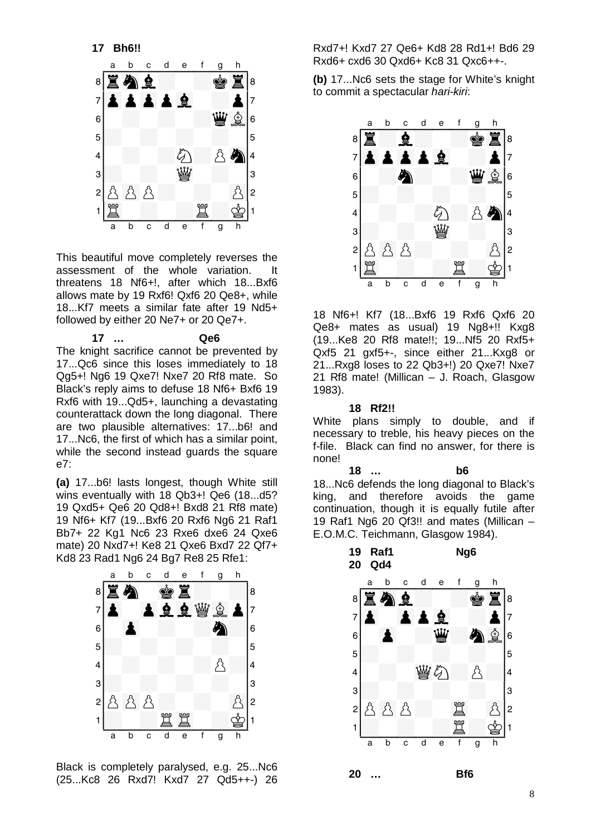

This beautiful move completely reverses the assessment of the whole variation. It threatens 18 Nf6+!, after which 18...Bxf6 allows mate by 19 Rxf6! Qxf6 20 Qe8+, while 18...Kf7 meets a similar fate after 19 Nd5+ followed by either 20 Ne7+ or 20 Qe7+.

**17 … Qe6**  The knight sacrifice cannot be prevented by 17...Qc6 since this loses immediately to 18 Qg5+! Ng6 19 Qxe7! Nxe7 20 Rf8 mate. So Black's reply aims to defuse 18 Nf6+ Bxf6 19 Rxf6 with 19...Qd5+, launching a devastating counterattack down the long diagonal. There are two plausible alternatives: 17...b6! and 17...Nc6, the first of which has a similar point, while the second instead guards the square e7:

**(a)** 17...b6! lasts longest, though White still wins eventually with 18 Qb3+! Qe6 (18...d5? 19 Qxd5+ Qe6 20 Qd8+! Bxd8 21 Rf8 mate) 19 Nf6+ Kf7 (19...Bxf6 20 Rxf6 Ng6 21 Raf1 Bb7+ 22 Kg1 Nc6 23 Rxe6 dxe6 24 Qxe6 BD7+ 22 KgT NC6 23 RXe6 dxe6 24 Qxe6<br>mate) 20 Nxd7+! Ke8 21 Qxe6 Bxd7 22 Qf7+



Black is completely paralysed, e.g. 25...Nc6 (25...Kc8 26 Rxd7! Kxd7 27 Qd5++-) 26

Rxd7+! Kxd7 27 Qe6+ Kd8 28 Rd1+! Bd6 29 Rxd6+ cxd6 30 Qxd6+ Kc8 31 Qxc6++-.

Axub+ cxub 50 Qxub+ Rcb 51 Qxcb+++.<br>**(b)** 17...Nc6 sets the stage for White's knight to commit a spectacular *hari-kiri*:



18 Nf6+! Kf7 (18...Bxf6 19 Rxf6 Qxf6 20 Qe8+ mates as usual) 19 Ng8+!! Kxg8 (19...Ke8 20 Rf8 mate!!; 19...Nf5 20 Rxf5+ Qxf5 21 gxf5+-, since either 21...Kxg8 or 21...Rxg8 loses to 22 Qb3+!) 20 Qxe7! Nxe7 21 Rf8 mate! (Millican – J. Roach, Glasgow 1983).

# **18 Rf2!!**

White plans simply to double, and if necessary to treble, his heavy pieces on the f-file. Black can find no answer, for there is none!

**18 … b6**  18...Nc6 defends the long diagonal to Black's king, and therefore avoids the game continuation, though it is equally futile after 19 Raf1 Ng6 20 Qf3!! and mates (Millican – 19 Rai i Ngo 20 Qib.!! and mates (Millican –<br>E.O.M.C. Teichmann, Glasgow 1984).